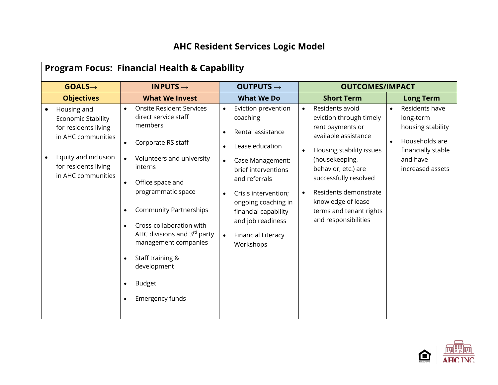## **AHC Resident Services Logic Model**

| <b>Program Focus: Financial Health &amp; Capability</b>                                                                                                      |                                                                                                                                                                                                                                                                                                                                                                                    |                                                                                                                                                                                                                                                                                                                  |                                                                                                                                                                                                                                                                                                     |                                                                                                                                                    |
|--------------------------------------------------------------------------------------------------------------------------------------------------------------|------------------------------------------------------------------------------------------------------------------------------------------------------------------------------------------------------------------------------------------------------------------------------------------------------------------------------------------------------------------------------------|------------------------------------------------------------------------------------------------------------------------------------------------------------------------------------------------------------------------------------------------------------------------------------------------------------------|-----------------------------------------------------------------------------------------------------------------------------------------------------------------------------------------------------------------------------------------------------------------------------------------------------|----------------------------------------------------------------------------------------------------------------------------------------------------|
| $GOALS \rightarrow$                                                                                                                                          | <b>INPUTS <math>\rightarrow</math></b>                                                                                                                                                                                                                                                                                                                                             | OUTPUTS $\rightarrow$                                                                                                                                                                                                                                                                                            | <b>OUTCOMES/IMPACT</b>                                                                                                                                                                                                                                                                              |                                                                                                                                                    |
| <b>Objectives</b>                                                                                                                                            | <b>What We Invest</b>                                                                                                                                                                                                                                                                                                                                                              | <b>What We Do</b>                                                                                                                                                                                                                                                                                                | <b>Short Term</b>                                                                                                                                                                                                                                                                                   | <b>Long Term</b>                                                                                                                                   |
| Housing and<br><b>Economic Stability</b><br>for residents living<br>in AHC communities<br>Equity and inclusion<br>for residents living<br>in AHC communities | <b>Onsite Resident Services</b><br>direct service staff<br>members<br>Corporate RS staff<br>$\bullet$<br>Volunteers and university<br>interns<br>Office space and<br>programmatic space<br><b>Community Partnerships</b><br>Cross-collaboration with<br>AHC divisions and 3rd party<br>management companies<br>Staff training &<br>development<br><b>Budget</b><br>Emergency funds | Eviction prevention<br>coaching<br>Rental assistance<br>$\bullet$<br>Lease education<br>Case Management:<br>brief interventions<br>and referrals<br>Crisis intervention;<br>$\bullet$<br>ongoing coaching in<br>financial capability<br>and job readiness<br><b>Financial Literacy</b><br>$\bullet$<br>Workshops | Residents avoid<br>$\bullet$<br>eviction through timely<br>rent payments or<br>available assistance<br>Housing stability issues<br>(housekeeping,<br>behavior, etc.) are<br>successfully resolved<br>Residents demonstrate<br>knowledge of lease<br>terms and tenant rights<br>and responsibilities | Residents have<br>$\bullet$<br>long-term<br>housing stability<br>Households are<br>$\bullet$<br>financially stable<br>and have<br>increased assets |

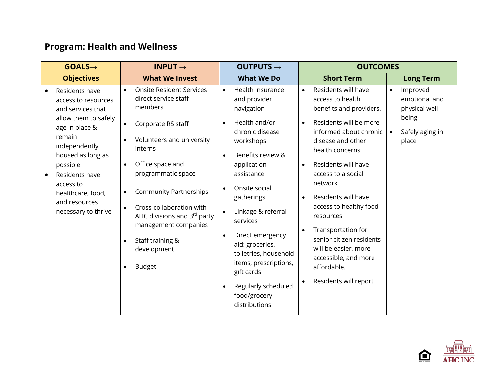| <b>Program: Health and Wellness</b>                                                                                                                                                                                                                          |                                                                                                                                                                                                                                                                                                                                                                 |                                                                                                                                                                                                                                                                                                                                                                                                |                                                                                                                                                                                                                                                                                                                                                                                                                                                                                                                                              |  |
|--------------------------------------------------------------------------------------------------------------------------------------------------------------------------------------------------------------------------------------------------------------|-----------------------------------------------------------------------------------------------------------------------------------------------------------------------------------------------------------------------------------------------------------------------------------------------------------------------------------------------------------------|------------------------------------------------------------------------------------------------------------------------------------------------------------------------------------------------------------------------------------------------------------------------------------------------------------------------------------------------------------------------------------------------|----------------------------------------------------------------------------------------------------------------------------------------------------------------------------------------------------------------------------------------------------------------------------------------------------------------------------------------------------------------------------------------------------------------------------------------------------------------------------------------------------------------------------------------------|--|
| $GOALS \rightarrow$                                                                                                                                                                                                                                          | INPUT $\rightarrow$                                                                                                                                                                                                                                                                                                                                             | OUTPUTS $\rightarrow$                                                                                                                                                                                                                                                                                                                                                                          | <b>OUTCOMES</b>                                                                                                                                                                                                                                                                                                                                                                                                                                                                                                                              |  |
| <b>Objectives</b>                                                                                                                                                                                                                                            | <b>What We Invest</b>                                                                                                                                                                                                                                                                                                                                           | <b>What We Do</b>                                                                                                                                                                                                                                                                                                                                                                              | <b>Short Term</b><br><b>Long Term</b>                                                                                                                                                                                                                                                                                                                                                                                                                                                                                                        |  |
| Residents have<br>access to resources<br>and services that<br>allow them to safely<br>age in place &<br>remain<br>independently<br>housed as long as<br>possible<br>Residents have<br>access to<br>healthcare, food,<br>and resources<br>necessary to thrive | <b>Onsite Resident Services</b><br>direct service staff<br>members<br>Corporate RS staff<br>$\bullet$<br>Volunteers and university<br>interns<br>Office space and<br>programmatic space<br><b>Community Partnerships</b><br>Cross-collaboration with<br>AHC divisions and 3rd party<br>management companies<br>Staff training &<br>development<br><b>Budget</b> | Health insurance<br>and provider<br>navigation<br>Health and/or<br>chronic disease<br>workshops<br>Benefits review &<br>application<br>assistance<br>Onsite social<br>$\bullet$<br>gatherings<br>Linkage & referral<br>services<br>Direct emergency<br>aid: groceries,<br>toiletries, household<br>items, prescriptions,<br>gift cards<br>Regularly scheduled<br>food/grocery<br>distributions | Residents will have<br>Improved<br>$\bullet$<br>access to health<br>emotional and<br>benefits and providers.<br>physical well-<br>being<br>Residents will be more<br>informed about chronic<br>Safely aging in<br>$\bullet$<br>disease and other<br>place<br>health concerns<br>Residents will have<br>access to a social<br>network<br>Residents will have<br>access to healthy food<br>resources<br>Transportation for<br>senior citizen residents<br>will be easier, more<br>accessible, and more<br>affordable.<br>Residents will report |  |

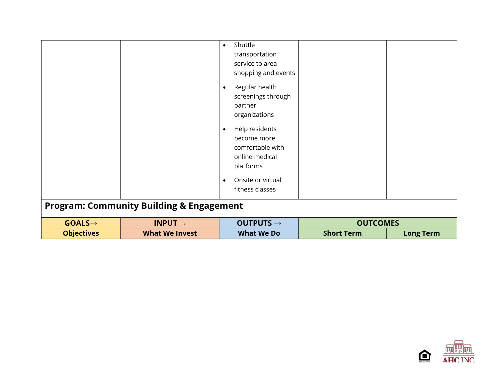| <b>Program: Community Building &amp; Engagement</b><br>$GOALS \rightarrow$<br>INPUT $\rightarrow$ | shopping and events<br>Regular health<br>$\bullet$<br>screenings through<br>partner<br>organizations<br>Help residents<br>$\bullet$<br>become more<br>comfortable with<br>online medical<br>platforms<br>Onsite or virtual<br>$\bullet$<br>fitness classes<br>OUTPUTS $\rightarrow$ | <b>OUTCOMES</b>   |                  |
|---------------------------------------------------------------------------------------------------|-------------------------------------------------------------------------------------------------------------------------------------------------------------------------------------------------------------------------------------------------------------------------------------|-------------------|------------------|
| <b>Objectives</b><br><b>What We Invest</b>                                                        | <b>What We Do</b>                                                                                                                                                                                                                                                                   | <b>Short Term</b> | <b>Long Term</b> |

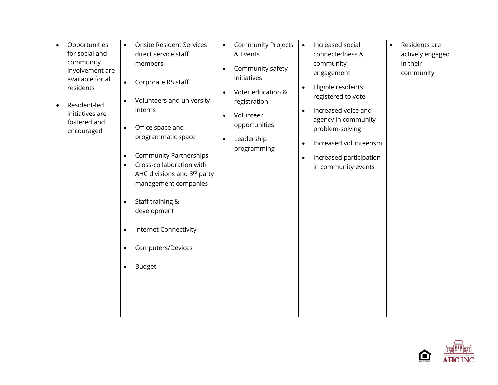| Opportunities<br>$\bullet$<br>for social and<br>community<br>involvement are<br>available for all<br>residents<br>Resident-led<br>initiatives are<br>fostered and<br>encouraged | <b>Onsite Resident Services</b><br>$\bullet$<br>direct service staff<br>members<br>Corporate RS staff<br>$\bullet$<br>Volunteers and university<br>$\bullet$<br>interns<br>Office space and<br>$\bullet$<br>programmatic space<br><b>Community Partnerships</b><br>$\bullet$<br>Cross-collaboration with<br>$\bullet$<br>AHC divisions and 3rd party<br>management companies<br>Staff training &<br>$\bullet$<br>development<br>Internet Connectivity<br>$\bullet$<br>Computers/Devices<br>٠ | <b>Community Projects</b><br>$\bullet$<br>& Events<br>Community safety<br>$\bullet$<br>initiatives<br>Voter education &<br>$\bullet$<br>registration<br>Volunteer<br>$\bullet$<br>opportunities<br>Leadership<br>$\bullet$<br>programming | Increased social<br>$\bullet$<br>connectedness &<br>community<br>engagement<br>Eligible residents<br>$\bullet$<br>registered to vote<br>Increased voice and<br>$\bullet$<br>agency in community<br>problem-solving<br>Increased volunteerism<br>$\bullet$<br>Increased participation<br>$\bullet$<br>in community events | Residents are<br>$\bullet$<br>actively engaged<br>in their<br>community |
|---------------------------------------------------------------------------------------------------------------------------------------------------------------------------------|----------------------------------------------------------------------------------------------------------------------------------------------------------------------------------------------------------------------------------------------------------------------------------------------------------------------------------------------------------------------------------------------------------------------------------------------------------------------------------------------|-------------------------------------------------------------------------------------------------------------------------------------------------------------------------------------------------------------------------------------------|--------------------------------------------------------------------------------------------------------------------------------------------------------------------------------------------------------------------------------------------------------------------------------------------------------------------------|-------------------------------------------------------------------------|
|                                                                                                                                                                                 | <b>Budget</b><br>$\bullet$                                                                                                                                                                                                                                                                                                                                                                                                                                                                   |                                                                                                                                                                                                                                           |                                                                                                                                                                                                                                                                                                                          |                                                                         |

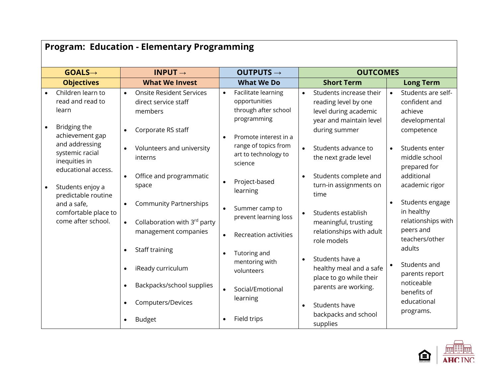| <b>Program: Education - Elementary Programming</b>                                |                                                                                          |                                                                                                                   |                                                                                                                                                                                                                    |  |
|-----------------------------------------------------------------------------------|------------------------------------------------------------------------------------------|-------------------------------------------------------------------------------------------------------------------|--------------------------------------------------------------------------------------------------------------------------------------------------------------------------------------------------------------------|--|
| $GOALS \rightarrow$                                                               | INPUT $\rightarrow$                                                                      | OUTPUTS $\rightarrow$                                                                                             | <b>OUTCOMES</b>                                                                                                                                                                                                    |  |
| <b>Objectives</b>                                                                 | <b>What We Invest</b>                                                                    | <b>What We Do</b>                                                                                                 | <b>Short Term</b><br><b>Long Term</b>                                                                                                                                                                              |  |
| Children learn to<br>read and read to<br>learn<br>Bridging the<br>achievement gap | <b>Onsite Resident Services</b><br>direct service staff<br>members<br>Corporate RS staff | Facilitate learning<br>$\bullet$<br>opportunities<br>through after school<br>programming<br>Promote interest in a | Students are self-<br>Students increase their<br>$\bullet$<br>reading level by one<br>confident and<br>level during academic<br>achieve<br>year and maintain level<br>developmental<br>during summer<br>competence |  |
| and addressing<br>systemic racial<br>inequities in<br>educational access.         | Volunteers and university<br>interns                                                     | range of topics from<br>art to technology to<br>science                                                           | Students advance to<br>Students enter<br>$\bullet$<br>the next grade level<br>middle school<br>prepared for                                                                                                        |  |
| Students enjoy a<br>predictable routine                                           | Office and programmatic<br>space                                                         | Project-based<br>learning                                                                                         | additional<br>Students complete and<br>turn-in assignments on<br>academic rigor<br>time                                                                                                                            |  |
| and a safe,<br>comfortable place to<br>come after school.                         | <b>Community Partnerships</b><br>Collaboration with 3rd party                            | Summer camp to<br>prevent learning loss                                                                           | Students engage<br>in healthy<br>Students establish<br>relationships with<br>meaningful, trusting                                                                                                                  |  |
|                                                                                   | management companies<br>Staff training                                                   | <b>Recreation activities</b><br>Tutoring and                                                                      | peers and<br>relationships with adult<br>teachers/other<br>role models<br>adults                                                                                                                                   |  |
|                                                                                   | iReady curriculum                                                                        | mentoring with<br>volunteers                                                                                      | Students have a<br>Students and<br>healthy meal and a safe<br>parents report<br>place to go while their                                                                                                            |  |
|                                                                                   | Backpacks/school supplies                                                                | Social/Emotional<br>learning                                                                                      | noticeable<br>parents are working.<br>benefits of                                                                                                                                                                  |  |
|                                                                                   | Computers/Devices                                                                        |                                                                                                                   | educational<br>Students have<br>programs.<br>backpacks and school                                                                                                                                                  |  |
|                                                                                   | <b>Budget</b>                                                                            | Field trips                                                                                                       | supplies                                                                                                                                                                                                           |  |

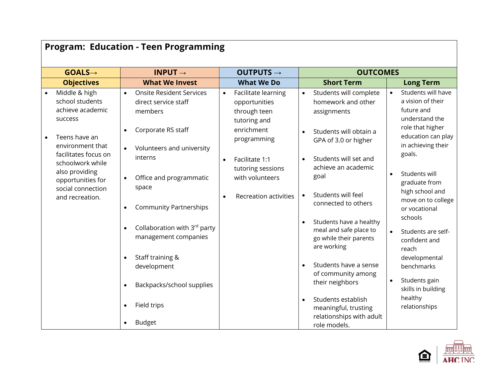| <b>Program: Education - Teen Programming</b> |                                                                        |                                                                                             |                                                                      |                                                                                            |                                                                         |
|----------------------------------------------|------------------------------------------------------------------------|---------------------------------------------------------------------------------------------|----------------------------------------------------------------------|--------------------------------------------------------------------------------------------|-------------------------------------------------------------------------|
|                                              | $GOALS \rightarrow$                                                    | INPUT $\rightarrow$                                                                         | OUTPUTS $\rightarrow$                                                | <b>OUTCOMES</b>                                                                            |                                                                         |
|                                              | <b>Objectives</b>                                                      | <b>What We Invest</b>                                                                       | <b>What We Do</b>                                                    | <b>Short Term</b>                                                                          | <b>Long Term</b>                                                        |
|                                              | Middle & high<br>school students<br>achieve academic<br><b>SUCCESS</b> | <b>Onsite Resident Services</b><br>$\bullet$<br>direct service staff<br>members             | Facilitate learning<br>opportunities<br>through teen<br>tutoring and | Students will complete<br>$\bullet$<br>homework and other<br>assignments                   | Students will have<br>a vision of their<br>future and<br>understand the |
|                                              | Teens have an<br>environment that<br>facilitates focus on              | Corporate RS staff<br>$\bullet$<br>Volunteers and university                                | enrichment<br>programming                                            | Students will obtain a<br>GPA of 3.0 or higher                                             | role that higher<br>education can play<br>in achieving their<br>goals.  |
|                                              | schoolwork while<br>also providing                                     | interns                                                                                     | Facilitate 1:1<br>$\bullet$<br>tutoring sessions                     | Students will set and<br>$\bullet$<br>achieve an academic<br>goal                          | Students will<br>$\bullet$                                              |
|                                              | opportunities for<br>social connection<br>and recreation.              | Office and programmatic<br>$\bullet$<br>space<br><b>Community Partnerships</b><br>$\bullet$ | with volunteers<br><b>Recreation activities</b>                      | Students will feel<br>$\bullet$<br>connected to others                                     | graduate from<br>high school and<br>move on to college<br>or vocational |
|                                              |                                                                        | Collaboration with 3rd party<br>$\bullet$<br>management companies                           |                                                                      | Students have a healthy<br>meal and safe place to<br>go while their parents<br>are working | schools<br>Students are self-<br>confident and<br>reach                 |
|                                              |                                                                        | Staff training &<br>$\bullet$<br>development                                                |                                                                      | Students have a sense<br>of community among                                                | developmental<br>benchmarks                                             |
|                                              |                                                                        | Backpacks/school supplies<br>$\bullet$                                                      |                                                                      | their neighbors                                                                            | Students gain<br>skills in building                                     |
|                                              |                                                                        | Field trips<br>$\bullet$                                                                    |                                                                      | Students establish<br>meaningful, trusting<br>relationships with adult                     | healthy<br>relationships                                                |
|                                              |                                                                        | <b>Budget</b><br>$\bullet$                                                                  |                                                                      | role models.                                                                               |                                                                         |